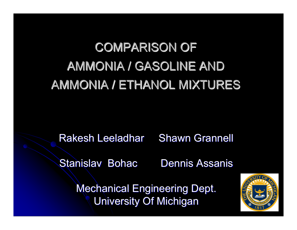# COMPARISON OF AMMONIA / GASOLINE AND AMMONIA / ETHANOL MIXTURES

Rakesh Leeladhar Shawn Grannell

Stanislav Bohac Dennis Assanis

Mechanical Engineering Dept. **University Of Michigan** 

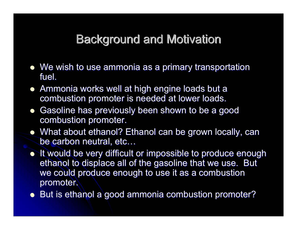#### **Background and Motivation**

- $\bullet\,$  We wish to use ammonia as a primary transportation fuel.
- Ammonia works well at high engine loads but a combustion promoter is needed at lower loads.
- $\bullet$ Gasoline has previously been shown to be a good combustion promoter.
- What about ethanol? Ethanol can be grown locally, can be carbon neutral, etc…
- It would be very difficult or impossible to produce enough ethanol to displace all of the gasoline that we use. But we could produce enough to use it as a combustion promoter.
- But is ethanol a good ammonia combustion promoter?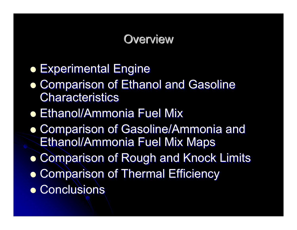#### **Overview**

- **Experimental Engine**
- **Comparison of Ethanol and Gasoline** Characteristics
- Ethanol/Ammonia Fuel Mix
- **Comparison of Gasoline/Ammonia and** Ethanol/Ammonia Fuel Mix Maps
- **Comparison of Rough and Knock Limits**
- **Comparison of Thermal Efficiency**
- **Conclusions**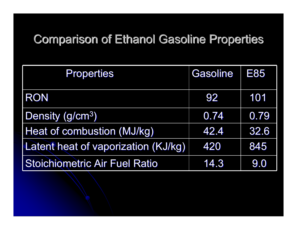### **Comparison of Ethanol Gasoline Properties**

| <b>Properties</b>                    | <b>Gasoline</b> | E85  |
|--------------------------------------|-----------------|------|
| <b>RON</b>                           | 92              | 101  |
| Density (g/cm <sup>3</sup> )         | 0.74            | 0.79 |
| Heat of combustion (MJ/kg)           | 42.4            | 32.6 |
| Latent heat of vaporization (KJ/kg)  | 420             | 845  |
| <b>Stoichiometric Air Fuel Ratio</b> | 14.3            | 9.0  |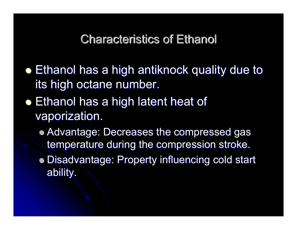**Characteristics of Ethanol** 

- $\bullet$  Ethanol has a high antiknock quality due to its high octane number.
- $\bullet$  Ethanol has a high latent heat of vaporization.
	- Advantage: Decreases the compressed gas temperature during the compression stroke.
	- Disadvantage: Property influencing cold start ability. ability.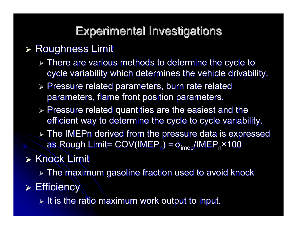#### Experimental Investigations Experimental Investigations

#### **≽ Roughness Limit**

- $\triangleright$  There are various methods to determine the cycle to cycle variability which determines the vehicle drivability.
- $\triangleright$  Pressure related parameters, burn rate related parameters, flame front position parameters.
- $\triangleright$  Pressure related quantities are the easiest and the efficient way to determine the cycle to cycle variability.
- $\triangleright$  The IMEPn derived from the pressure data is expressed as Rough Limit= COV(IMEP<sub>n</sub>) = σ<sub>imep</sub>/IMEP<sub>n</sub>×100

### $\triangleright$  Knock Limit

 $\triangleright$  The maximum gasoline fraction used to avoid knock

 $\triangleright$  Efficiency

 $\triangleright$  It is the ratio maximum work output to input.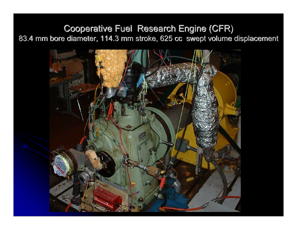#### **Cooperative Fuel Research Engine (CFR)** 83.4 mm bore diameter, 114.3 mm stroke, 625 cc swept volume displacement

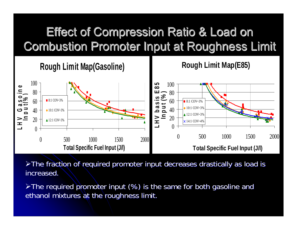## **Effect of Compression Ratio & Load on Combustion Promoter Input at Roughness Limit**



 $\triangleright$ The fraction of required promoter input decreases drastically as load is increased.

 $\triangleright$ The required promoter input (%) is the same for both gasoline and ethanol mixtures at the roughness limit.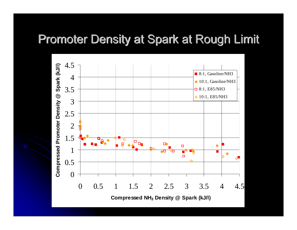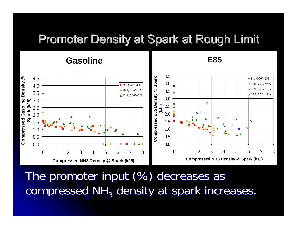**E85**

#### 4.5**Compressed Gasoline Density @ Compressed E85 Density @ Spark**   $^{\circledR}$ Compressed E85 Density @ Spark 4.5 $8:1, COV - 3%$ Compressed Gasoline Density 4.0 $10:1$ , COV ~3%  $8:1$ , COV ~3% 4.0 $\triangle$  12:1, COV ~3%  $10:1$ , COV ~3% 3.53.5 $\times$  14:1, COV ~4%  $12:1$ , COV ~3% 3.03.0Spark (kJ/l) **Spark (kJ/l)**  $\boldsymbol{\mathsf{x}}$ **(kJ/l)** 2.5 2.52.0 2.0  $\blacktriangle$  $x_{\mathsf{X}}$ ▲ Â 1.51.5  $\pmb{\times}$ 1.01.0Δ  $\blacktriangle$ 0.50.50.00.0012345678012345678**Compressed NH3 Density @ Spark (kJ/l) Compressed NH3 Density @ Spark (kJ/l)**

The promoter input (%) decreases as compressed NH<sub>3</sub> density at spark increases.

#### **Gasoline**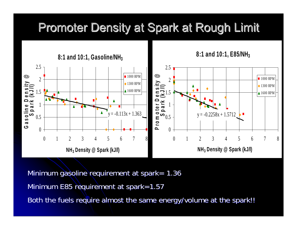**8:1 and 10:1, Gasoline/NH3** $y = -0.113x + 1.363$ 00.511.522.5012345678**NH3 Density @ Spark (kJ/l)**  $\begin{array}{c}\n\textcircled{2} \\
\textcircled{3} \\
\textcircled{4} \\
\textcircled{5} \\
\textcircled{7} \\
\textcircled{8}\n\end{array}$ **8:1 and 10:1, E85/NH3** $y = -0.2258x + 1.5712$ 0 $0.5\,$ 1 ensity<br>(kJ/l) 22.5 012345678**NH3 Density @ Spark (kJ/l)**  $\frac{1}{2}$ <br>  $\frac{1}{2}$ <br>  $\frac{1}{2}$ <br>  $\frac{1}{2}$ <br>  $\frac{1}{2}$ <br>  $\frac{1}{2}$ <br>  $\frac{1}{2}$ <br>  $\frac{1}{2}$ <br>  $\frac{1}{2}$ <br>  $\frac{1}{2}$ <br>  $\frac{1}{2}$ <br>  $\frac{1}{2}$ <br>  $\frac{1}{2}$ <br>  $\frac{1}{2}$ <br>  $\frac{1}{2}$ <br>  $\frac{1}{2}$ <br>  $\frac{1}{2}$ <br>  $\frac{1}{2}$ <br>  $\frac{1}{2}$ <br>  $\frac{1}{2}$ <br>

Minimum gasoline requirement at spark=  $1.36$ Minimum E85 requirement at spark=1.57

Both the fuels require almost the same energy/volume at the spark!!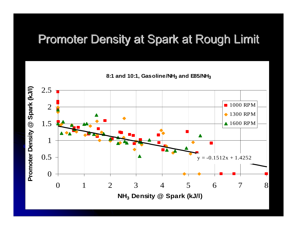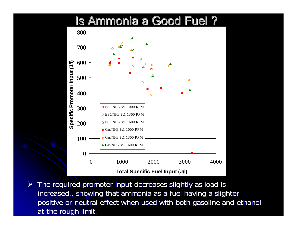#### **Is Ammonia a Good Fuel ?**



 $\triangleright$  The required promoter input decreases slightly as load is increased., showing that ammonia as a fuel having a slighter positive or neutral effect when used with both gasoline and ethanol at the rough limit.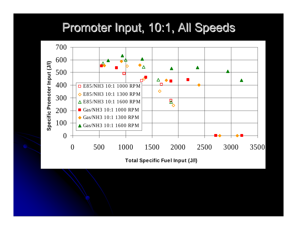#### Promoter Input, 10:1, All Speeds



**Total Specific Fuel Input (J/l)**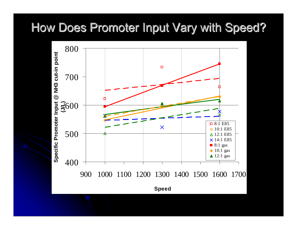#### How Does Promoter Input Vary with Speed?

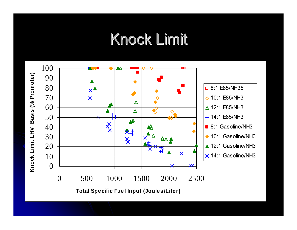## **Knock Limit**

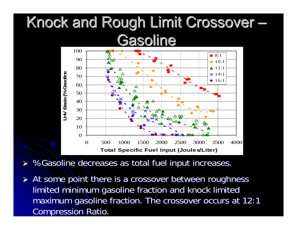# Knock and Rough Limit Crossover Gasoline



¾%Gasoline decreases as total fuel input increases.

► At some point there is a crossover between roughness limited minimum gasoline fraction and knock limited maximum gasoline fraction. The crossover occurs at 12:1 Compression Ratio.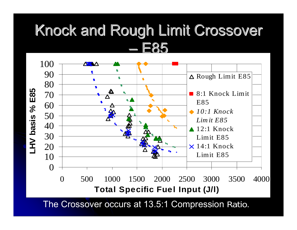## Knock and Rough Limit Crossover E85



The Crossover occurs at 13.5:1 Compression Ratio.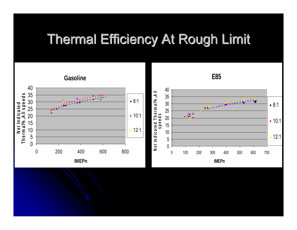## **Thermal Efficiency At Rough Limit**

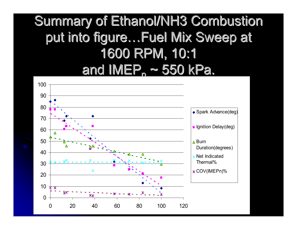## **Summary of Ethanol/NH3 Combustion** put into figure...Fuel Mix Sweep at 1600 RPM, 10:1 <u>and IMEP, ~ 550 kPa.</u>

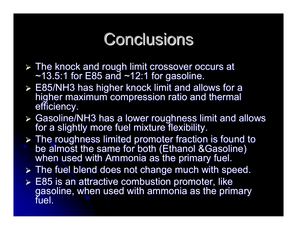# **Conclusions**

- ► The knock and rough limit crossover occurs at  $~13.5:1$  for E85 and  $~12:1$  for gasoline.
- > E85/NH3 has higher knock limit and allows for a higher maximum compression ratio and thermal<br>efficiency.
- ¾ Gasoline/NH3 has a lower roughness limit and allows Gasoline/NH3 has a lower roughness limit and allows for a slightly more fuel mixture flexibility. for a slightly more fuel mixture flexibility.
- > The roughness limited promoter fraction is found to be almost the same for both (Ethanol & Gasoline)<br>when used with Ammonia as the primary fuel.
- $\triangleright$  The fuel blend does not change much with speed.
- $\triangleright$  E85 is an attractive combustion promoter, like gasoline, when used with ammonia as the primary fuel.